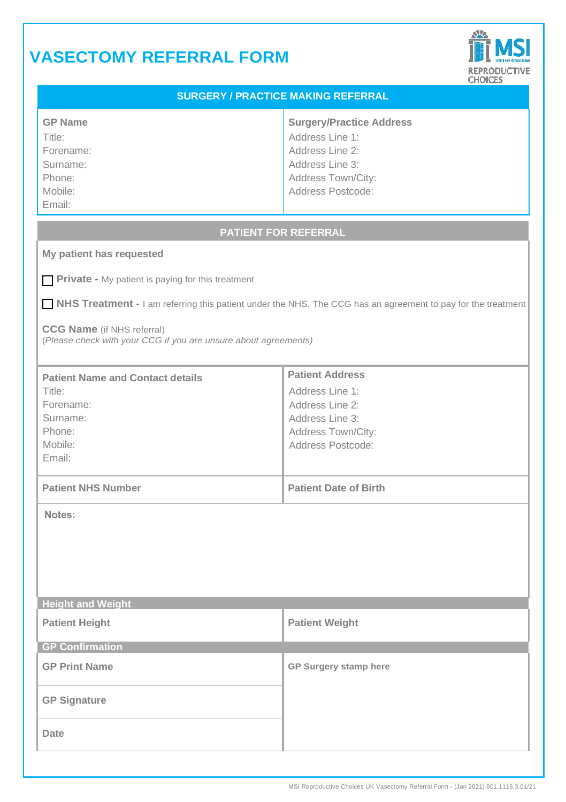# **VASECTOMY REFERRAL FORM**



| <b>KEPRODUCTIVE</b><br><b>CHOICES</b>                                                                                                                                                                                |                                                                                                                                     |
|----------------------------------------------------------------------------------------------------------------------------------------------------------------------------------------------------------------------|-------------------------------------------------------------------------------------------------------------------------------------|
| <b>SURGERY / PRACTICE MAKING REFERRAL</b>                                                                                                                                                                            |                                                                                                                                     |
| <b>GP Name</b><br>Title:<br>Forename:<br>Surname:<br>Phone:<br>Mobile:<br>Email:                                                                                                                                     | <b>Surgery/Practice Address</b><br>Address Line 1:<br>Address Line 2:<br>Address Line 3:<br>Address Town/City:<br>Address Postcode: |
| <b>PATIENT FOR REFERRAL</b>                                                                                                                                                                                          |                                                                                                                                     |
| My patient has requested                                                                                                                                                                                             |                                                                                                                                     |
| Private - My patient is paying for this treatment                                                                                                                                                                    |                                                                                                                                     |
| NHS Treatment - I am referring this patient under the NHS. The CCG has an agreement to pay for the treatment<br><b>CCG Name</b> (if NHS referral)<br>(Please check with your CCG if you are unsure about agreements) |                                                                                                                                     |
| <b>Patient Name and Contact details</b><br>Title:<br>Forename:<br>Surname:<br>Phone:<br>Mobile:<br>Email:                                                                                                            | <b>Patient Address</b><br>Address Line 1:<br>Address Line 2:<br>Address Line 3:<br>Address Town/City:<br>Address Postcode:          |
| <b>Patient NHS Number</b>                                                                                                                                                                                            | <b>Patient Date of Birth</b>                                                                                                        |
| Notes:                                                                                                                                                                                                               |                                                                                                                                     |
| <b>Height and Weight</b>                                                                                                                                                                                             |                                                                                                                                     |
| <b>Patient Height</b>                                                                                                                                                                                                | <b>Patient Weight</b>                                                                                                               |
| <b>GP Confirmation</b>                                                                                                                                                                                               |                                                                                                                                     |
| <b>GP Print Name</b>                                                                                                                                                                                                 | GP Surgery stamp here                                                                                                               |
| <b>GP Signature</b>                                                                                                                                                                                                  |                                                                                                                                     |
| Date                                                                                                                                                                                                                 |                                                                                                                                     |